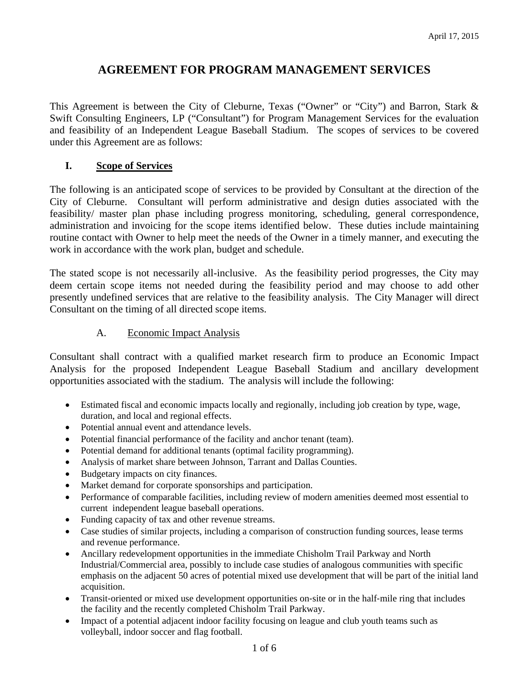# **AGREEMENT FOR PROGRAM MANAGEMENT SERVICES**

This Agreement is between the City of Cleburne, Texas ("Owner" or "City") and Barron, Stark & Swift Consulting Engineers, LP ("Consultant") for Program Management Services for the evaluation and feasibility of an Independent League Baseball Stadium. The scopes of services to be covered under this Agreement are as follows:

## **I. Scope of Services**

The following is an anticipated scope of services to be provided by Consultant at the direction of the City of Cleburne. Consultant will perform administrative and design duties associated with the feasibility/ master plan phase including progress monitoring, scheduling, general correspondence, administration and invoicing for the scope items identified below. These duties include maintaining routine contact with Owner to help meet the needs of the Owner in a timely manner, and executing the work in accordance with the work plan, budget and schedule.

The stated scope is not necessarily all-inclusive. As the feasibility period progresses, the City may deem certain scope items not needed during the feasibility period and may choose to add other presently undefined services that are relative to the feasibility analysis. The City Manager will direct Consultant on the timing of all directed scope items.

## A. Economic Impact Analysis

Consultant shall contract with a qualified market research firm to produce an Economic Impact Analysis for the proposed Independent League Baseball Stadium and ancillary development opportunities associated with the stadium. The analysis will include the following:

- Estimated fiscal and economic impacts locally and regionally, including job creation by type, wage, duration, and local and regional effects.
- Potential annual event and attendance levels.
- Potential financial performance of the facility and anchor tenant (team).
- Potential demand for additional tenants (optimal facility programming).
- Analysis of market share between Johnson, Tarrant and Dallas Counties.
- Budgetary impacts on city finances.
- Market demand for corporate sponsorships and participation.
- Performance of comparable facilities, including review of modern amenities deemed most essential to current independent league baseball operations.
- Funding capacity of tax and other revenue streams.
- Case studies of similar projects, including a comparison of construction funding sources, lease terms and revenue performance.
- Ancillary redevelopment opportunities in the immediate Chisholm Trail Parkway and North Industrial/Commercial area, possibly to include case studies of analogous communities with specific emphasis on the adjacent 50 acres of potential mixed use development that will be part of the initial land acquisition.
- Transit-oriented or mixed use development opportunities on-site or in the half-mile ring that includes the facility and the recently completed Chisholm Trail Parkway.
- Impact of a potential adjacent indoor facility focusing on league and club youth teams such as volleyball, indoor soccer and flag football.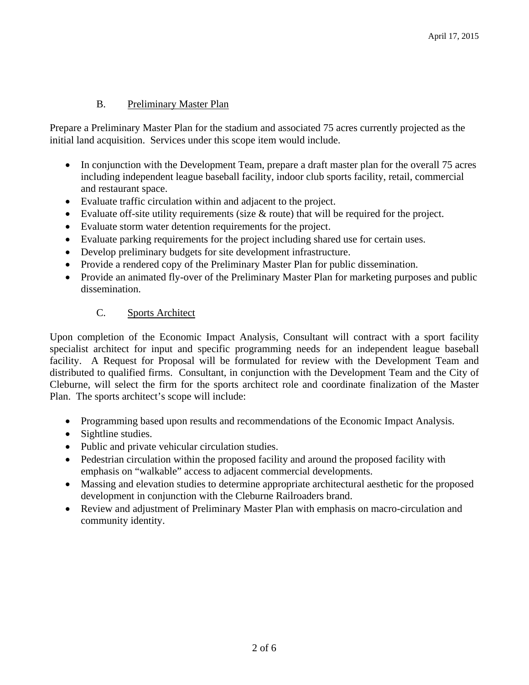## B. Preliminary Master Plan

Prepare a Preliminary Master Plan for the stadium and associated 75 acres currently projected as the initial land acquisition. Services under this scope item would include.

- In conjunction with the Development Team, prepare a draft master plan for the overall 75 acres including independent league baseball facility, indoor club sports facility, retail, commercial and restaurant space.
- Evaluate traffic circulation within and adjacent to the project.
- Evaluate off-site utility requirements (size & route) that will be required for the project.
- Evaluate storm water detention requirements for the project.
- Evaluate parking requirements for the project including shared use for certain uses.
- Develop preliminary budgets for site development infrastructure.
- Provide a rendered copy of the Preliminary Master Plan for public dissemination.
- Provide an animated fly-over of the Preliminary Master Plan for marketing purposes and public dissemination.

## C. Sports Architect

Upon completion of the Economic Impact Analysis, Consultant will contract with a sport facility specialist architect for input and specific programming needs for an independent league baseball facility. A Request for Proposal will be formulated for review with the Development Team and distributed to qualified firms. Consultant, in conjunction with the Development Team and the City of Cleburne, will select the firm for the sports architect role and coordinate finalization of the Master Plan. The sports architect's scope will include:

- Programming based upon results and recommendations of the Economic Impact Analysis.
- Sightline studies.
- Public and private vehicular circulation studies.
- Pedestrian circulation within the proposed facility and around the proposed facility with emphasis on "walkable" access to adjacent commercial developments.
- Massing and elevation studies to determine appropriate architectural aesthetic for the proposed development in conjunction with the Cleburne Railroaders brand.
- Review and adjustment of Preliminary Master Plan with emphasis on macro-circulation and community identity.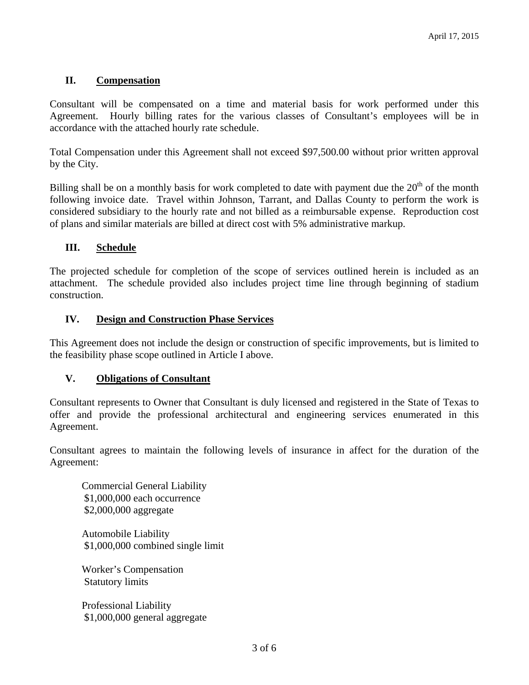## **II. Compensation**

Consultant will be compensated on a time and material basis for work performed under this Agreement. Hourly billing rates for the various classes of Consultant's employees will be in accordance with the attached hourly rate schedule.

Total Compensation under this Agreement shall not exceed \$97,500.00 without prior written approval by the City.

Billing shall be on a monthly basis for work completed to date with payment due the  $20<sup>th</sup>$  of the month following invoice date. Travel within Johnson, Tarrant, and Dallas County to perform the work is considered subsidiary to the hourly rate and not billed as a reimbursable expense. Reproduction cost of plans and similar materials are billed at direct cost with 5% administrative markup.

#### **III. Schedule**

The projected schedule for completion of the scope of services outlined herein is included as an attachment. The schedule provided also includes project time line through beginning of stadium construction.

#### **IV. Design and Construction Phase Services**

This Agreement does not include the design or construction of specific improvements, but is limited to the feasibility phase scope outlined in Article I above.

#### **V. Obligations of Consultant**

Consultant represents to Owner that Consultant is duly licensed and registered in the State of Texas to offer and provide the professional architectural and engineering services enumerated in this Agreement.

Consultant agrees to maintain the following levels of insurance in affect for the duration of the Agreement:

Commercial General Liability \$1,000,000 each occurrence \$2,000,000 aggregate

Automobile Liability \$1,000,000 combined single limit

Worker's Compensation Statutory limits

Professional Liability \$1,000,000 general aggregate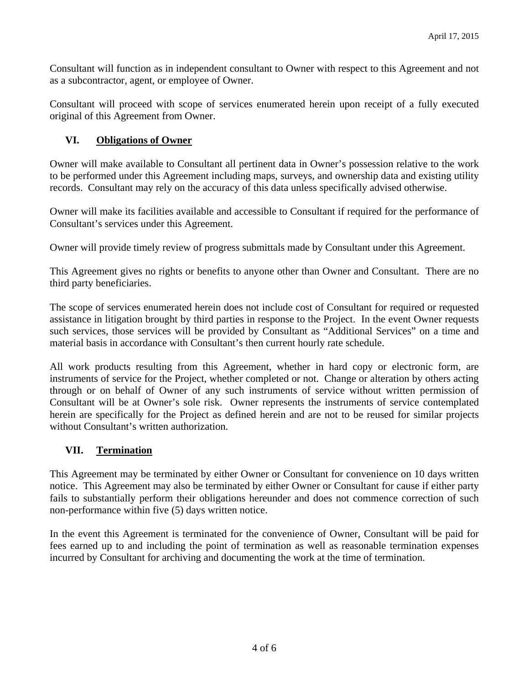Consultant will function as in independent consultant to Owner with respect to this Agreement and not as a subcontractor, agent, or employee of Owner.

Consultant will proceed with scope of services enumerated herein upon receipt of a fully executed original of this Agreement from Owner.

## **VI. Obligations of Owner**

Owner will make available to Consultant all pertinent data in Owner's possession relative to the work to be performed under this Agreement including maps, surveys, and ownership data and existing utility records. Consultant may rely on the accuracy of this data unless specifically advised otherwise.

Owner will make its facilities available and accessible to Consultant if required for the performance of Consultant's services under this Agreement.

Owner will provide timely review of progress submittals made by Consultant under this Agreement.

This Agreement gives no rights or benefits to anyone other than Owner and Consultant. There are no third party beneficiaries.

The scope of services enumerated herein does not include cost of Consultant for required or requested assistance in litigation brought by third parties in response to the Project. In the event Owner requests such services, those services will be provided by Consultant as "Additional Services" on a time and material basis in accordance with Consultant's then current hourly rate schedule.

All work products resulting from this Agreement, whether in hard copy or electronic form, are instruments of service for the Project, whether completed or not. Change or alteration by others acting through or on behalf of Owner of any such instruments of service without written permission of Consultant will be at Owner's sole risk. Owner represents the instruments of service contemplated herein are specifically for the Project as defined herein and are not to be reused for similar projects without Consultant's written authorization.

## **VII. Termination**

This Agreement may be terminated by either Owner or Consultant for convenience on 10 days written notice. This Agreement may also be terminated by either Owner or Consultant for cause if either party fails to substantially perform their obligations hereunder and does not commence correction of such non-performance within five (5) days written notice.

In the event this Agreement is terminated for the convenience of Owner, Consultant will be paid for fees earned up to and including the point of termination as well as reasonable termination expenses incurred by Consultant for archiving and documenting the work at the time of termination.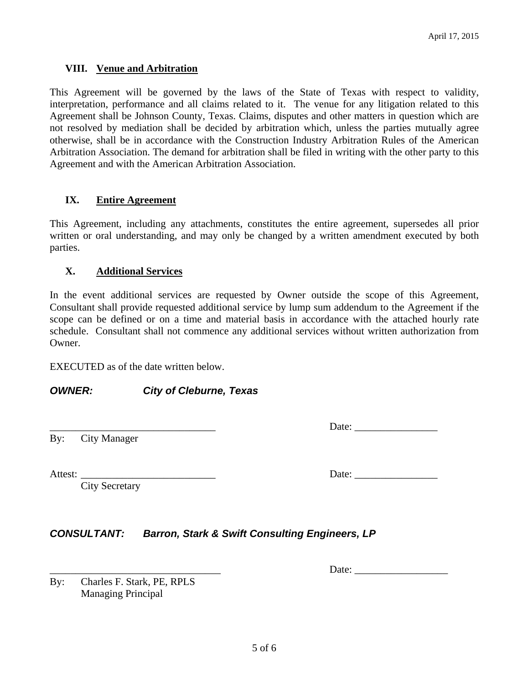#### **VIII. Venue and Arbitration**

This Agreement will be governed by the laws of the State of Texas with respect to validity, interpretation, performance and all claims related to it. The venue for any litigation related to this Agreement shall be Johnson County, Texas. Claims, disputes and other matters in question which are not resolved by mediation shall be decided by arbitration which, unless the parties mutually agree otherwise, shall be in accordance with the Construction Industry Arbitration Rules of the American Arbitration Association. The demand for arbitration shall be filed in writing with the other party to this Agreement and with the American Arbitration Association.

#### **IX. Entire Agreement**

This Agreement, including any attachments, constitutes the entire agreement, supersedes all prior written or oral understanding, and may only be changed by a written amendment executed by both parties.

#### **X. Additional Services**

In the event additional services are requested by Owner outside the scope of this Agreement, Consultant shall provide requested additional service by lump sum addendum to the Agreement if the scope can be defined or on a time and material basis in accordance with the attached hourly rate schedule. Consultant shall not commence any additional services without written authorization from Owner.

EXECUTED as of the date written below.

## *OWNER: City of Cleburne, Texas*

By: City Manager

City Secretary

## \_\_\_\_\_\_\_\_\_\_\_\_\_\_\_\_\_\_\_\_\_\_\_\_\_\_\_\_\_\_\_\_ Date: \_\_\_\_\_\_\_\_\_\_\_\_\_\_\_\_

Attest: \_\_\_\_\_\_\_\_\_\_\_\_\_\_\_\_\_\_\_\_\_\_\_\_\_\_ Date: \_\_\_\_\_\_\_\_\_\_\_\_\_\_\_\_

\_\_\_\_\_\_\_\_\_\_\_\_\_\_\_\_\_\_\_\_\_\_\_\_\_\_\_\_\_\_\_\_\_ Date: \_\_\_\_\_\_\_\_\_\_\_\_\_\_\_\_\_\_

*CONSULTANT: Barron, Stark & Swift Consulting Engineers, LP*

By: Charles F. Stark, PE, RPLS Managing Principal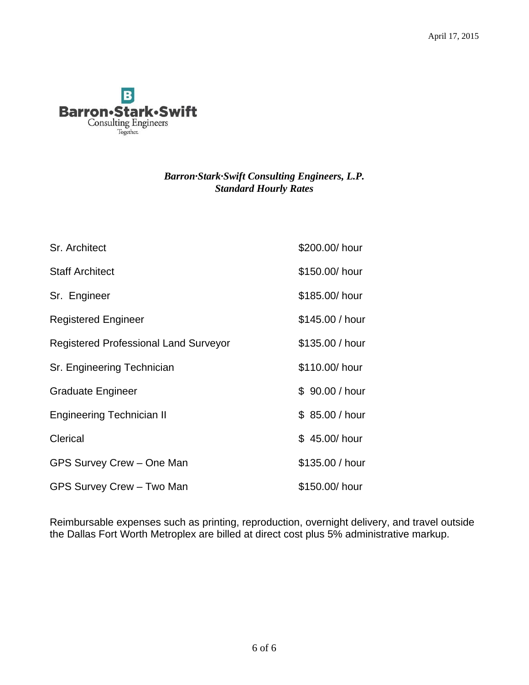

## *Barron·Stark·Swift Consulting Engineers, L.P. Standard Hourly Rates*

| Sr. Architect                                | \$200.00/ hour  |
|----------------------------------------------|-----------------|
| <b>Staff Architect</b>                       | \$150.00/ hour  |
| Sr. Engineer                                 | \$185.00/ hour  |
| <b>Registered Engineer</b>                   | \$145.00 / hour |
| <b>Registered Professional Land Surveyor</b> | \$135.00 / hour |
| Sr. Engineering Technician                   | \$110.00/ hour  |
| <b>Graduate Engineer</b>                     | \$90.00 / hour  |
| <b>Engineering Technician II</b>             | \$ 85.00 / hour |
| Clerical                                     | \$45.00/hour    |
| GPS Survey Crew - One Man                    | \$135.00 / hour |
| GPS Survey Crew - Two Man                    | \$150.00/ hour  |

Reimbursable expenses such as printing, reproduction, overnight delivery, and travel outside the Dallas Fort Worth Metroplex are billed at direct cost plus 5% administrative markup.